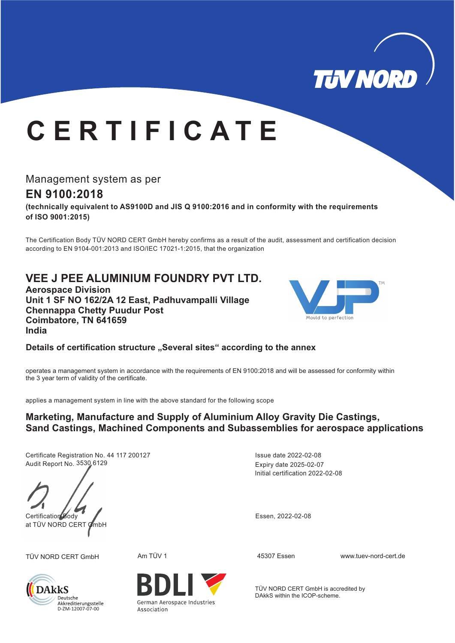

## **C E R T I F I C A T E**

Management system as per

## **EN 9100:2018**

**(technically equivalent to AS9100D and JIS Q 9100:2016 and in conformity with the requirements of ISO 9001:2015)**

The Certification Body TÜV NORD CERT GmbH hereby confirms as a result of the audit, assessment and certification decision according to EN 9104-001:2013 and ISO/IEC 17021-1:2015, that the organization

## **VEE J PEE ALUMINIUM FOUNDRY PVT LTD.**

**Aerospace Division Unit 1 SF NO 162/2A 12 East, Padhuvampalli Village Chennappa Chetty Puudur Post Coimbatore, TN 641659 India**



Details of certification structure "Several sites" according to the annex

operates a management system in accordance with the requirements of EN 9100:2018 and will be assessed for conformity within the 3 year term of validity of the certificate.

applies a management system in line with the above standard for the following scope

#### **Marketing, Manufacture and Supply of Aluminium Alloy Gravity Die Castings, Sand Castings, Machined Components and Subassemblies for aerospace applications**

Certificate Registration No. 44 117 200127 Audit Report No. 3530 6129

Certification Body Essen, 2022-02-08 at TÜV NORD CERT GmbH



**DAkkS** Deutsche Akkreditierungsstelle<br>D-ZM-12007-07-00

German Aerospace Industries Association

Initial certification 2022-02-08 Expiry date 2025-02-07 Issue date 2022-02-08

TÜV NORD CERT GmbH Am TÜV 1 45307 Essen www.tuev-nord-cert.de

TÜV NORD CERT GmbH is accredited by DAkkS within the ICOP-scheme.